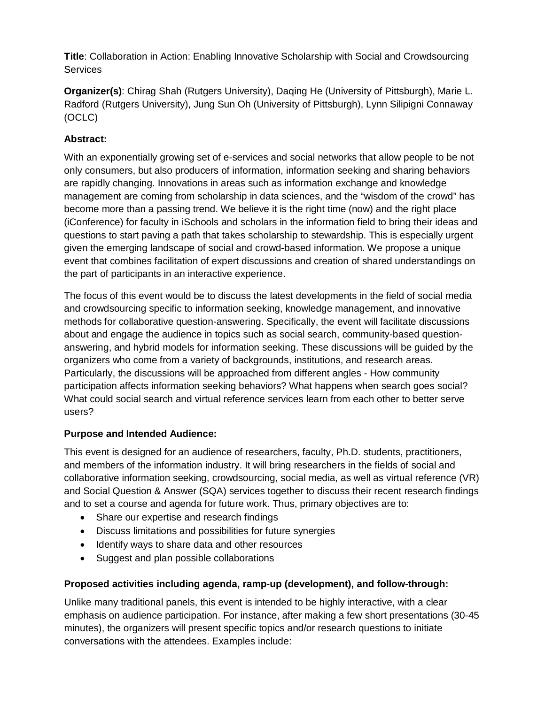**Title**: Collaboration in Action: Enabling Innovative Scholarship with Social and Crowdsourcing **Services** 

**Organizer(s)**: Chirag Shah (Rutgers University), Daqing He (University of Pittsburgh), Marie L. Radford (Rutgers University), Jung Sun Oh (University of Pittsburgh), Lynn Silipigni Connaway (OCLC)

# **Abstract:**

With an exponentially growing set of e-services and social networks that allow people to be not only consumers, but also producers of information, information seeking and sharing behaviors are rapidly changing. Innovations in areas such as information exchange and knowledge management are coming from scholarship in data sciences, and the "wisdom of the crowd" has become more than a passing trend. We believe it is the right time (now) and the right place (iConference) for faculty in iSchools and scholars in the information field to bring their ideas and questions to start paving a path that takes scholarship to stewardship. This is especially urgent given the emerging landscape of social and crowd-based information. We propose a unique event that combines facilitation of expert discussions and creation of shared understandings on the part of participants in an interactive experience.

The focus of this event would be to discuss the latest developments in the field of social media and crowdsourcing specific to information seeking, knowledge management, and innovative methods for collaborative question-answering. Specifically, the event will facilitate discussions about and engage the audience in topics such as social search, community-based questionanswering, and hybrid models for information seeking. These discussions will be guided by the organizers who come from a variety of backgrounds, institutions, and research areas. Particularly, the discussions will be approached from different angles - How community participation affects information seeking behaviors? What happens when search goes social? What could social search and virtual reference services learn from each other to better serve users?

## **Purpose and Intended Audience:**

This event is designed for an audience of researchers, faculty, Ph.D. students, practitioners, and members of the information industry. It will bring researchers in the fields of social and collaborative information seeking, crowdsourcing, social media, as well as virtual reference (VR) and Social Question & Answer (SQA) services together to discuss their recent research findings and to set a course and agenda for future work. Thus, primary objectives are to:

- Share our expertise and research findings
- Discuss limitations and possibilities for future synergies
- Identify ways to share data and other resources
- Suggest and plan possible collaborations

## **Proposed activities including agenda, ramp-up (development), and follow-through:**

Unlike many traditional panels, this event is intended to be highly interactive, with a clear emphasis on audience participation. For instance, after making a few short presentations (30-45 minutes), the organizers will present specific topics and/or research questions to initiate conversations with the attendees. Examples include: